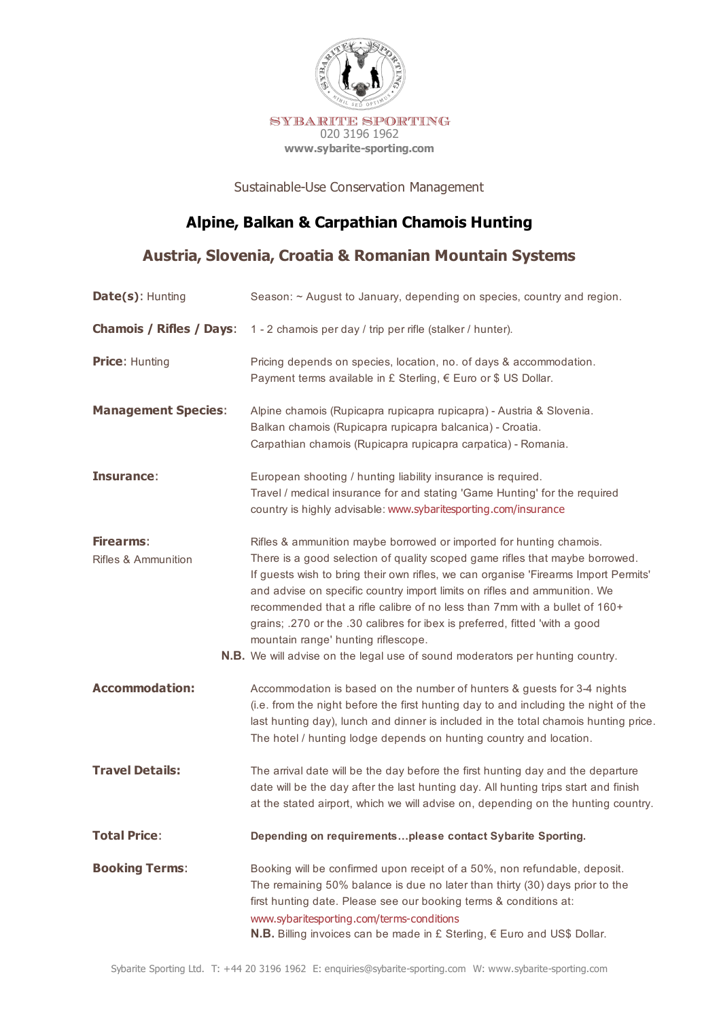

Sustainable-Use Conservation Management

# **Alpine, Balkan & Carpathian Chamois Hunting**

## **Austria, Slovenia, Croatia & Romanian Mountain Systems**

| Date(s): Hunting                            | Season: ~ August to January, depending on species, country and region.                                                                                                                                                                                                                                                                                                                                                                                                                                                                                                                                              |
|---------------------------------------------|---------------------------------------------------------------------------------------------------------------------------------------------------------------------------------------------------------------------------------------------------------------------------------------------------------------------------------------------------------------------------------------------------------------------------------------------------------------------------------------------------------------------------------------------------------------------------------------------------------------------|
| <b>Chamois / Rifles / Days:</b>             | 1 - 2 chamois per day / trip per rifle (stalker / hunter).                                                                                                                                                                                                                                                                                                                                                                                                                                                                                                                                                          |
| <b>Price: Hunting</b>                       | Pricing depends on species, location, no. of days & accommodation.<br>Payment terms available in £ Sterling, € Euro or \$ US Dollar.                                                                                                                                                                                                                                                                                                                                                                                                                                                                                |
| <b>Management Species:</b>                  | Alpine chamois (Rupicapra rupicapra rupicapra) - Austria & Slovenia.<br>Balkan chamois (Rupicapra rupicapra balcanica) - Croatia.<br>Carpathian chamois (Rupicapra rupicapra carpatica) - Romania.                                                                                                                                                                                                                                                                                                                                                                                                                  |
| Insurance:                                  | European shooting / hunting liability insurance is required.<br>Travel / medical insurance for and stating 'Game Hunting' for the required<br>country is highly advisable: www.sybaritesporting.com/insurance                                                                                                                                                                                                                                                                                                                                                                                                       |
| Firearms:<br><b>Rifles &amp; Ammunition</b> | Rifles & ammunition maybe borrowed or imported for hunting chamois.<br>There is a good selection of quality scoped game rifles that maybe borrowed.<br>If guests wish to bring their own rifles, we can organise 'Firearms Import Permits'<br>and advise on specific country import limits on rifles and ammunition. We<br>recommended that a rifle calibre of no less than 7mm with a bullet of 160+<br>grains; .270 or the .30 calibres for ibex is preferred, fitted 'with a good<br>mountain range' hunting riflescope.<br><b>N.B.</b> We will advise on the legal use of sound moderators per hunting country. |
| <b>Accommodation:</b>                       | Accommodation is based on the number of hunters & guests for 3-4 nights<br>(i.e. from the night before the first hunting day to and including the night of the<br>last hunting day), lunch and dinner is included in the total chamois hunting price.<br>The hotel / hunting lodge depends on hunting country and location.                                                                                                                                                                                                                                                                                         |
| <b>Travel Details:</b>                      | The arrival date will be the day before the first hunting day and the departure<br>date will be the day after the last hunting day. All hunting trips start and finish<br>at the stated airport, which we will advise on, depending on the hunting country.                                                                                                                                                                                                                                                                                                                                                         |
| <b>Total Price:</b>                         | Depending on requirementsplease contact Sybarite Sporting.                                                                                                                                                                                                                                                                                                                                                                                                                                                                                                                                                          |
| <b>Booking Terms:</b>                       | Booking will be confirmed upon receipt of a 50%, non refundable, deposit.<br>The remaining 50% balance is due no later than thirty (30) days prior to the<br>first hunting date. Please see our booking terms & conditions at:<br>www.sybaritesporting.com/terms-conditions<br>N.B. Billing invoices can be made in £ Sterling, € Euro and US\$ Dollar.                                                                                                                                                                                                                                                             |